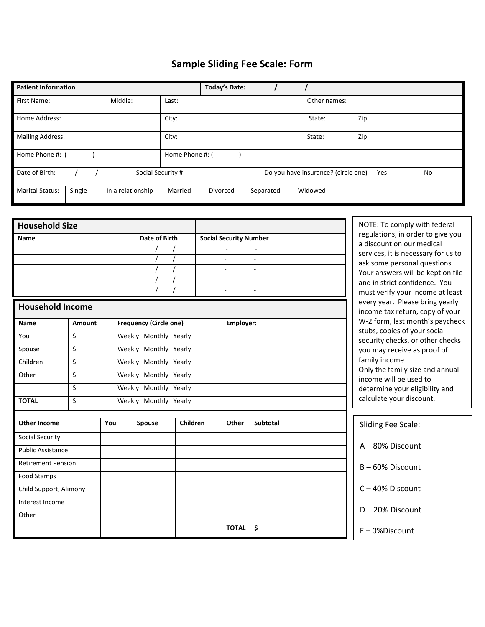## **Sample Sliding Fee Scale: Form**

| <b>Patient Information</b>       | <b>Today's Date:</b>                        |         |          |           |                                     |           |  |
|----------------------------------|---------------------------------------------|---------|----------|-----------|-------------------------------------|-----------|--|
| First Name:                      | Middle:                                     | Last:   |          |           | Other names:                        |           |  |
| Home Address:                    |                                             | City:   |          |           | State:                              | Zip:      |  |
| <b>Mailing Address:</b>          | City:                                       |         |          | State:    | Zip:                                |           |  |
| Home Phone #:                    | Home Phone #: (<br>$\overline{\phantom{a}}$ |         |          |           |                                     |           |  |
| Date of Birth:                   | Social Security #                           |         |          |           | Do you have insurance? (circle one) | Yes<br>No |  |
| <b>Marital Status:</b><br>Single | In a relationship                           | Married | Divorced | Separated | Widowed                             |           |  |

| <b>Household Size</b>     |        |                       |                               |                               |                          |                                                                | NOTE: To comply with federal                                       |
|---------------------------|--------|-----------------------|-------------------------------|-------------------------------|--------------------------|----------------------------------------------------------------|--------------------------------------------------------------------|
| <b>Name</b>               |        | Date of Birth         |                               | <b>Social Security Number</b> |                          | regulations, in order to give you<br>a discount on our medical |                                                                    |
|                           |        |                       |                               |                               |                          | services, it is necessary for us to                            |                                                                    |
|                           |        |                       |                               |                               | ÷.                       |                                                                | ask some personal questions.                                       |
|                           |        |                       |                               |                               |                          |                                                                | Your answers will be kept on file                                  |
|                           |        |                       |                               |                               |                          | $\sim$                                                         | and in strict confidence. You                                      |
|                           |        |                       |                               |                               |                          |                                                                | must verify your income at least                                   |
| <b>Household Income</b>   |        |                       |                               |                               |                          |                                                                | every year. Please bring yearly<br>income tax return, copy of your |
| <b>Name</b>               | Amount |                       | <b>Frequency (Circle one)</b> |                               | Employer:                |                                                                | W-2 form, last month's paycheck                                    |
| You                       | \$     |                       | Weekly Monthly Yearly         |                               |                          |                                                                | stubs, copies of your social<br>security checks, or other checks   |
| Spouse                    | \$     |                       | Weekly Monthly Yearly         |                               |                          |                                                                | you may receive as proof of                                        |
| Children                  | \$     |                       | Weekly Monthly Yearly         |                               |                          |                                                                | family income.                                                     |
| Other                     | \$     |                       | Weekly Monthly Yearly         |                               |                          |                                                                | Only the family size and annual<br>income will be used to          |
| \$                        |        | Weekly Monthly Yearly |                               |                               |                          | determine your eligibility and                                 |                                                                    |
| <b>TOTAL</b>              | \$     |                       | Weekly Monthly Yearly         |                               | calculate your discount. |                                                                |                                                                    |
| <b>Other Income</b>       |        | You                   | Spouse                        | Children                      | Other                    | <b>Subtotal</b>                                                | Sliding Fee Scale:                                                 |
| Social Security           |        |                       |                               |                               |                          |                                                                |                                                                    |
| <b>Public Assistance</b>  |        |                       |                               |                               |                          |                                                                | A-80% Discount                                                     |
| <b>Retirement Pension</b> |        |                       |                               |                               |                          |                                                                | $B - 60\%$ Discount                                                |
| Food Stamps               |        |                       |                               |                               |                          |                                                                |                                                                    |
| Child Support, Alimony    |        |                       |                               |                               |                          |                                                                | C-40% Discount                                                     |
| Interest Income           |        |                       |                               |                               |                          |                                                                | D-20% Discount                                                     |
| Other                     |        |                       |                               |                               |                          |                                                                |                                                                    |
|                           |        |                       |                               |                               | <b>TOTAL</b>             | \$                                                             | $E - 0$ %Discount                                                  |